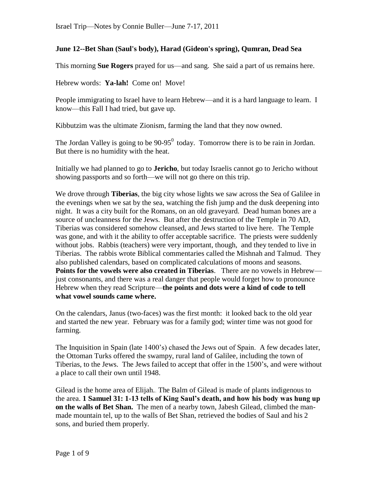# **June 12--Bet Shan (Saul's body), Harad (Gideon's spring), Qumran, Dead Sea**

This morning **Sue Rogers** prayed for us—and sang. She said a part of us remains here.

Hebrew words: **Ya-lah!** Come on! Move!

People immigrating to Israel have to learn Hebrew—and it is a hard language to learn. I know—this Fall I had tried, but gave up.

Kibbutzim was the ultimate Zionism, farming the land that they now owned.

The Jordan Valley is going to be  $90-95^{\circ}$  today. Tomorrow there is to be rain in Jordan. But there is no humidity with the heat.

Initially we had planned to go to **Jericho**, but today Israelis cannot go to Jericho without showing passports and so forth—we will not go there on this trip.

We drove through **Tiberias**, the big city whose lights we saw across the Sea of Galilee in the evenings when we sat by the sea, watching the fish jump and the dusk deepening into night. It was a city built for the Romans, on an old graveyard. Dead human bones are a source of uncleanness for the Jews. But after the destruction of the Temple in 70 AD, Tiberias was considered somehow cleansed, and Jews started to live here. The Temple was gone, and with it the ability to offer acceptable sacrifice. The priests were suddenly without jobs. Rabbis (teachers) were very important, though, and they tended to live in Tiberias. The rabbis wrote Biblical commentaries called the Mishnah and Talmud. They also published calendars, based on complicated calculations of moons and seasons. **Points for the vowels were also created in Tiberias**. There are no vowels in Hebrew just consonants, and there was a real danger that people would forget how to pronounce Hebrew when they read Scripture—**the points and dots were a kind of code to tell what vowel sounds came where.**

On the calendars, Janus (two-faces) was the first month: it looked back to the old year and started the new year. February was for a family god; winter time was not good for farming.

The Inquisition in Spain (late 1400's) chased the Jews out of Spain. A few decades later, the Ottoman Turks offered the swampy, rural land of Galilee, including the town of Tiberias, to the Jews. The Jews failed to accept that offer in the 1500's, and were without a place to call their own until 1948.

Gilead is the home area of Elijah.. The Balm of Gilead is made of plants indigenous to the area. **1 Samuel 31: 1-13 tells of King Saul's death, and how his body was hung up on the walls of Bet Shan.** The men of a nearby town, Jabesh Gilead, climbed the manmade mountain tel, up to the walls of Bet Shan, retrieved the bodies of Saul and his 2 sons, and buried them properly.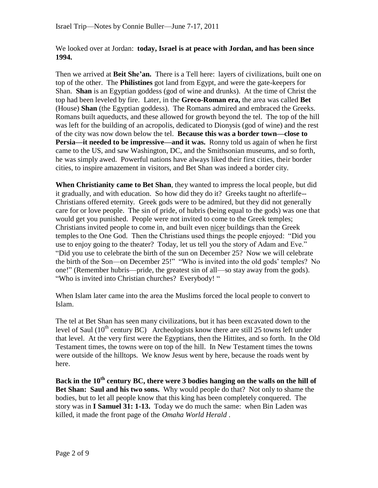We looked over at Jordan: **today, Israel is at peace with Jordan, and has been since 1994.**

Then we arrived at **Beit She'an.** There is a Tell here: layers of civilizations, built one on top of the other. The **Philistines** got land from Egypt, and were the gate-keepers for Shan. **Shan** is an Egyptian goddess (god of wine and drunks). At the time of Christ the top had been leveled by fire. Later, in the **Greco-Roman era,** the area was called **Bet**  (House) **Shan** (the Egyptian goddess). The Romans admired and embraced the Greeks. Romans built aqueducts, and these allowed for growth beyond the tel. The top of the hill was left for the building of an acropolis, dedicated to Dionysis (god of wine) and the rest of the city was now down below the tel. **Because this was a border town—close to Persia—it needed to be impressive—and it was.** Ronny told us again of when he first came to the US, and saw Washington, DC, and the Smithsonian museums, and so forth, he was simply awed. Powerful nations have always liked their first cities, their border cities, to inspire amazement in visitors, and Bet Shan was indeed a border city.

**When Christianity came to Bet Shan**, they wanted to impress the local people, but did it gradually, and with education. So how did they do it? Greeks taught no afterlife-- Christians offered eternity. Greek gods were to be admired, but they did not generally care for or love people. The sin of pride, of hubris (being equal to the gods) was one that would get you punished. People were not invited to come to the Greek temples; Christians invited people to come in, and built even nicer buildings than the Greek temples to the One God. Then the Christians used things the people enjoyed: "Did you use to enjoy going to the theater? Today, let us tell you the story of Adam and Eve." "Did you use to celebrate the birth of the sun on December 25? Now we will celebrate the birth of the Son—on December 25!" "Who is invited into the old gods' temples? No one!" (Remember hubris—pride, the greatest sin of all—so stay away from the gods). "Who is invited into Christian churches? Everybody! "

When Islam later came into the area the Muslims forced the local people to convert to Islam.

The tel at Bet Shan has seen many civilizations, but it has been excavated down to the level of Saul  $(10^{th}$  century BC) Archeologists know there are still 25 towns left under that level. At the very first were the Egyptians, then the Hittites, and so forth. In the Old Testament times, the towns were on top of the hill. In New Testament times the towns were outside of the hilltops. We know Jesus went by here, because the roads went by here.

**Back in the 10th century BC, there were 3 bodies hanging on the walls on the hill of Bet Shan: Saul and his two sons.** Why would people do that? Not only to shame the bodies, but to let all people know that this king has been completely conquered. The story was in **I Samuel 31: 1-13.** Today we do much the same: when Bin Laden was killed, it made the front page of the *Omaha World Herald* .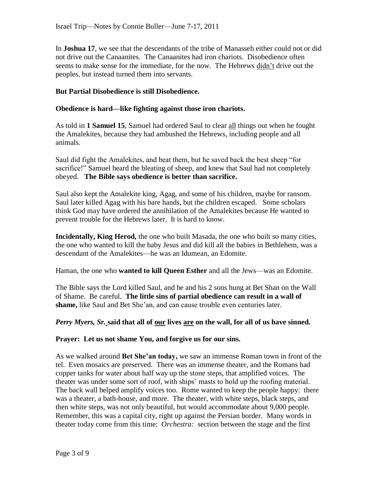In **Joshua 17**, we see that the descendants of the tribe of Manasseh either could not or did not drive out the Canaanites. The Canaanites had iron chariots. Disobedience often seems to make sense for the immediate, for the now. The Hebrews didn't drive out the peoples, but instead turned them into servants.

# **But Partial Disobedience is still Disobedience.**

### **Obedience is hard—like fighting against those iron chariots.**

As told in **1 Samuel 15**, Samuel had ordered Saul to clear all things out when he fought the Amalekites, because they had ambushed the Hebrews, including people and all animals.

Saul did fight the Amalekites, and beat them, but he saved back the best sheep "for sacrifice!" Samuel heard the bleating of sheep, and knew that Saul had not completely obeyed. **The Bible says obedience is better than sacrifice.** 

Saul also kept the Amalekite king, Agag, and some of his children, maybe for ransom. Saul later killed Agag with his bare hands, but the children escaped. Some scholars think God may have ordered the annihilation of the Amalekites because He wanted to prevent trouble for the Hebrews later. It is hard to know.

**Incidentally, King Herod,** the one who built Masada, the one who built so many cities, the one who wanted to kill the baby Jesus and did kill all the babies in Bethlehem, was a descendant of the Amalekites—he was an Idumean, an Edomite.

Haman, the one who **wanted to kill Queen Esther** and all the Jews—was an Edomite.

The Bible says the Lord killed Saul, and he and his 2 sons hung at Bet Shan on the Wall of Shame. Be careful. **The little sins of partial obedience can result in a wall of shame,** like Saul and Bet She'an, and can cause trouble even centuries later.

### *Perry Myers, Sr.* said that all of <u>our</u> lives are on the wall, for all of us have sinned.

### **Prayer: Let us not shame You, and forgive us for our sins.**

As we walked around **Bet She'an today,** we saw an immense Roman town in front of the tel. Even mosaics are preserved. There was an immense theater, and the Romans had copper tanks for water about half way up the stone steps, that amplified voices. The theater was under some sort of roof, with ships' masts to hold up the roofing material. The back wall helped amplify voices too. Rome wanted to keep the people happy: there was a theater, a bath-house, and more. The theater, with white steps, black steps, and then white steps, was not only beautiful, but would accommodate about 9,000 people. Remember, this was a capital city, right up against the Persian border. Many words in theater today come from this time: *Orchestra:* section between the stage and the first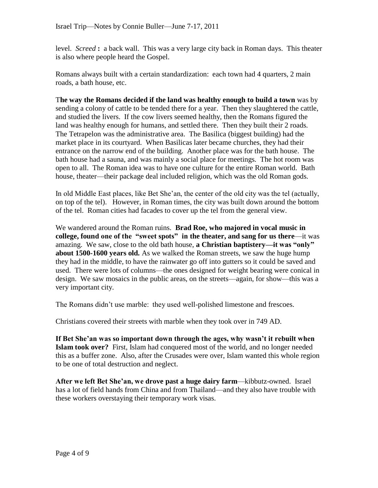level. *Screed* **:** a back wall. This was a very large city back in Roman days. This theater is also where people heard the Gospel.

Romans always built with a certain standardization: each town had 4 quarters, 2 main roads, a bath house, etc.

T**he way the Romans decided if the land was healthy enough to build a town** was by sending a colony of cattle to be tended there for a year. Then they slaughtered the cattle, and studied the livers. If the cow livers seemed healthy, then the Romans figured the land was healthy enough for humans, and settled there. Then they built their 2 roads. The Tetrapelon was the administrative area. The Basilica (biggest building) had the market place in its courtyard. When Basilicas later became churches, they had their entrance on the narrow end of the building. Another place was for the bath house. The bath house had a sauna, and was mainly a social place for meetings. The hot room was open to all. The Roman idea was to have one culture for the entire Roman world. Bath house, theater—their package deal included religion, which was the old Roman gods.

In old Middle East places, like Bet She'an, the center of the old city was the tel (actually, on top of the tel). However, in Roman times, the city was built down around the bottom of the tel. Roman cities had facades to cover up the tel from the general view.

We wandered around the Roman ruins. **Brad Roe, who majored in vocal music in college, found one of the "sweet spots" in the theater, and sang for us there**—it was amazing. We saw, close to the old bath house, **a Christian baptistery—it was "only" about 1500-1600 years old.** As we walked the Roman streets, we saw the huge hump they had in the middle, to have the rainwater go off into gutters so it could be saved and used. There were lots of columns—the ones designed for weight bearing were conical in design. We saw mosaics in the public areas, on the streets—again, for show—this was a very important city.

The Romans didn't use marble: they used well-polished limestone and frescoes.

Christians covered their streets with marble when they took over in 749 AD.

**If Bet She'an was so important down through the ages, why wasn't it rebuilt when Islam took over?** First, Islam had conquered most of the world, and no longer needed this as a buffer zone. Also, after the Crusades were over, Islam wanted this whole region to be one of total destruction and neglect.

**After we left Bet She'an, we drove past a huge dairy farm**—kibbutz-owned. Israel has a lot of field hands from China and from Thailand—and they also have trouble with these workers overstaying their temporary work visas.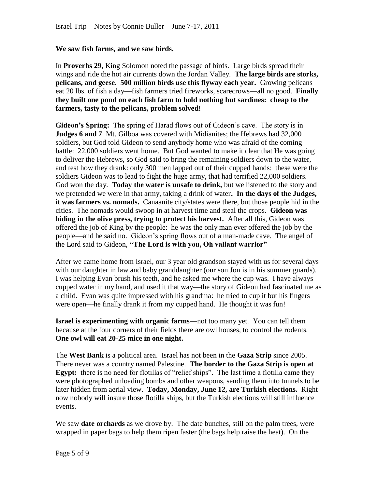#### **We saw fish farms, and we saw birds.**

In **Proverbs 29**, King Solomon noted the passage of birds. Large birds spread their wings and ride the hot air currents down the Jordan Valley. **The large birds are storks, pelicans, and geese. 500 million birds use this flyway each year.** Growing pelicans eat 20 lbs. of fish a day—fish farmers tried fireworks, scarecrows—all no good. **Finally they built one pond on each fish farm to hold nothing but sardines: cheap to the farmers, tasty to the pelicans, problem solved!**

**Gideon's Spring:** The spring of Harad flows out of Gideon's cave. The story is in **Judges 6 and 7** Mt. Gilboa was covered with Midianites; the Hebrews had 32,000 soldiers, but God told Gideon to send anybody home who was afraid of the coming battle: 22,000 soldiers went home. But God wanted to make it clear that He was going to deliver the Hebrews, so God said to bring the remaining soldiers down to the water, and test how they drank: only 300 men lapped out of their cupped hands: these were the soldiers Gideon was to lead to fight the huge army, that had terrified 22,000 soldiers. God won the day. **Today the water is unsafe to drink,** but we listened to the story and we pretended we were in that army, taking a drink of water**. In the days of the Judges, it was farmers vs. nomads.** Canaanite city/states were there, but those people hid in the cities. The nomads would swoop in at harvest time and steal the crops. **Gideon was hiding in the olive press, trying to protect his harvest.** After all this, Gideon was offered the job of King by the people: he was the only man ever offered the job by the people—and he said no. Gideon's spring flows out of a man-made cave. The angel of the Lord said to Gideon, **"The Lord is with you, Oh valiant warrior"**

After we came home from Israel, our 3 year old grandson stayed with us for several days with our daughter in law and baby granddaughter (our son Jon is in his summer guards). I was helping Evan brush his teeth, and he asked me where the cup was. I have always cupped water in my hand, and used it that way—the story of Gideon had fascinated me as a child. Evan was quite impressed with his grandma: he tried to cup it but his fingers were open—he finally drank it from my cupped hand. He thought it was fun!

**Israel is experimenting with organic farms—**not too many yet. You can tell them because at the four corners of their fields there are owl houses, to control the rodents. **One owl will eat 20-25 mice in one night.**

The **West Bank** is a political area. Israel has not been in the **Gaza Strip** since 2005. There never was a country named Palestine. **The border to the Gaza Strip is open at Egypt:** there is no need for flotillas of "relief ships". The last time a flotilla came they were photographed unloading bombs and other weapons, sending them into tunnels to be later hidden from aerial view. **Today, Monday, June 12, are Turkish elections.** Right now nobody will insure those flotilla ships, but the Turkish elections will still influence events.

We saw **date orchards** as we drove by. The date bunches, still on the palm trees, were wrapped in paper bags to help them ripen faster (the bags help raise the heat). On the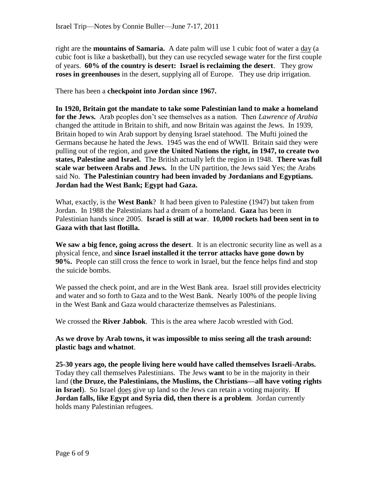right are the **mountains of Samaria.** A date palm will use 1 cubic foot of water a day (a cubic foot is like a basketball), but they can use recycled sewage water for the first couple of years. **60% of the country is desert: Israel is reclaiming the desert**. They grow **roses in greenhouses** in the desert, supplying all of Europe. They use drip irrigation.

There has been a **checkpoint into Jordan since 1967.**

**In 1920, Britain got the mandate to take some Palestinian land to make a homeland for the Jews.** Arab peoples don't see themselves as a nation. Then *Lawrence of Arabia* changed the attitude in Britain to shift, and now Britain was against the Jews. In 1939, Britain hoped to win Arab support by denying Israel statehood. The Mufti joined the Germans because he hated the Jews. 1945 was the end of WWII. Britain said they were pulling out of the region, and ga**ve the United Nations the right, in 1947, to create two states, Palestine and Israel.** The British actually left the region in 1948. **There was full scale war between Arabs and Jews.** In the UN partition, the Jews said Yes; the Arabs said No. **The Palestinian country had been invaded by Jordanians and Egyptians. Jordan had the West Bank; Egypt had Gaza.**

What, exactly, is the **West Bank**? It had been given to Palestine (1947) but taken from Jordan. In 1988 the Palestinians had a dream of a homeland. **Gaza** has been in Palestinian hands since 2005. **Israel is still at war**. **10,000 rockets had been sent in to Gaza with that last flotilla.** 

**We saw a big fence, going across the desert**. It is an electronic security line as well as a physical fence, and **since Israel installed it the terror attacks have gone down by 90%.** People can still cross the fence to work in Israel, but the fence helps find and stop the suicide bombs.

We passed the check point, and are in the West Bank area. Israel still provides electricity and water and so forth to Gaza and to the West Bank. Nearly 100% of the people living in the West Bank and Gaza would characterize themselves as Palestinians.

We crossed the **River Jabbok**. This is the area where Jacob wrestled with God.

**As we drove by Arab towns, it was impossible to miss seeing all the trash around: plastic bags and whatnot**.

**25-30 years ago, the people living here would have called themselves Israeli-Arabs.** Today they call themselves Palestinians. The Jews **want** to be in the majority in their land (**the Druze, the Palestinians, the Muslims, the Christians—all have voting rights in Israel**). So Israel does give up land so the Jews can retain a voting majority. **If Jordan falls, like Egypt and Syria did, then there is a problem**. Jordan currently holds many Palestinian refugees.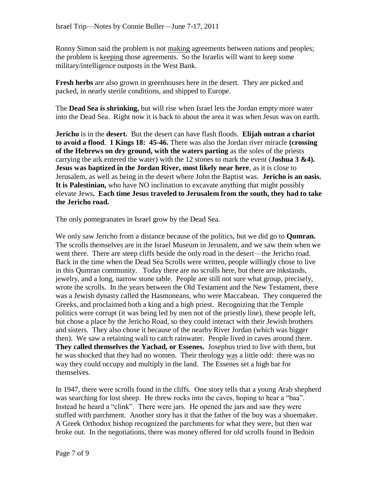Ronny Simon said the problem is not making agreements between nations and peoples; the problem is keeping those agreements. So the Israelis will want to keep some military/intelligence outposts in the West Bank.

**Fresh herbs** are also grown in greenhouses here in the desert. They are picked and packed, in nearly sterile conditions, and shipped to Europe.

The **Dead Sea is shrinking,** but will rise when Israel lets the Jordan empty more water into the Dead Sea. Right now it is back to about the area it was when Jesus was on earth.

**Jericho** is in the **desert.** But the desert can have flash floods. **Elijah outran a chariot to avoid a flood**. **1 Kings 18: 45-46.** There was also the Jordan river miracle **(crossing of the Hebrews on dry ground, with the waters parting** as the soles of the priests carrying the ark entered the water) with the 12 stones to mark the event (**Joshua 3 &4). Jesus was baptized in the Jordan River, most likely near here**, as it is close to Jerusalem, as well as being in the desert where John the Baptist was. **Jericho is an oasis. It is Palestinian,** who have NO inclination to excavate anything that might possibly elevate Jews**. Each time Jesus traveled to Jerusalem from the south, they had to take the Jericho road.** 

The only pomegranates in Israel grow by the Dead Sea.

We only saw Jericho from a distance because of the politics, but we did go to **Qumran.** The scrolls themselves are in the Israel Museum in Jerusalem, and we saw them when we went there. There are steep cliffs beside the only road in the desert—the Jericho road. Back in the time when the Dead Sea Scrolls were written, people willingly chose to live in this Qumran community. Today there are no scrolls here, but there are inkstands, jewelry, and a long, narrow stone table. People are still not sure what group, precisely, wrote the scrolls. In the years between the Old Testament and the New Testament, there was a Jewish dynasty called the Hasmoneans, who were Maccabean. They conquered the Greeks, and proclaimed both a king and a high priest. Recognizing that the Temple politics were corrupt (it was being led by men not of the priestly line), these people left, but chose a place by the Jericho Road, so they could interact with their Jewish brothers and sisters. They also chose it because of the nearby River Jordan (which was bigger then). We saw a retaining wall to catch rainwater. People lived in caves around there. **They called themselves the Yachad, or Essenes.** Josephus tried to live with them, but he was shocked that they had no women. Their theology was a little odd: there was no way they could occupy and multiply in the land. The Essenes set a high bar for themselves.

In 1947, there were scrolls found in the cliffs. One story tells that a young Arab shepherd was searching for lost sheep. He threw rocks into the caves, hoping to hear a "baa". Instead he heard a "clink". There were jars. He opened the jars and saw they were stuffed with parchment. Another story has it that the father of the boy was a shoemaker. A Greek Orthodox bishop recognized the parchments for what they were, but then war broke out. In the negotiations, there was money offered for old scrolls found in Bedoin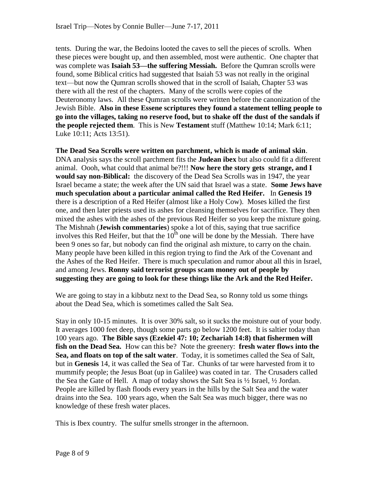tents. During the war, the Bedoins looted the caves to sell the pieces of scrolls. When these pieces were bought up, and then assembled, most were authentic. One chapter that was complete was **Isaiah 53—the suffering Messiah.** Before the Qumran scrolls were found, some Biblical critics had suggested that Isaiah 53 was not really in the original text—but now the Qumran scrolls showed that in the scroll of Isaiah, Chapter 53 was there with all the rest of the chapters. Many of the scrolls were copies of the Deuteronomy laws. All these Qumran scrolls were written before the canonization of the Jewish Bible. **Also in these Essene scriptures they found a statement telling people to go into the villages, taking no reserve food, but to shake off the dust of the sandals if the people rejected them**. This is New **Testament** stuff (Matthew 10:14; Mark 6:11; Luke 10:11; Acts 13:51).

**The Dead Sea Scrolls were written on parchment, which is made of animal skin**. DNA analysis says the scroll parchment fits the **Judean ibex** but also could fit a different animal. Oooh, what could that animal be?!!! **Now here the story gets strange, and I would say non-Biblical:** the discovery of the Dead Sea Scrolls was in 1947, the year Israel became a state; the week after the UN said that Israel was a state. **Some Jews have much speculation about a particular animal called the Red Heifer.** In **Genesis 19** there is a description of a Red Heifer (almost like a Holy Cow). Moses killed the first one, and then later priests used its ashes for cleansing themselves for sacrifice. They then mixed the ashes with the ashes of the previous Red Heifer so you keep the mixture going. The Mishnah (**Jewish commentaries**) spoke a lot of this, saying that true sacrifice involves this Red Heifer, but that the  $10<sup>th</sup>$  one will be done by the Messiah. There have been 9 ones so far, but nobody can find the original ash mixture, to carry on the chain. Many people have been killed in this region trying to find the Ark of the Covenant and the Ashes of the Red Heifer. There is much speculation and rumor about all this in Israel, and among Jews. **Ronny said terrorist groups scam money out of people by suggesting they are going to look for these things like the Ark and the Red Heifer.** 

We are going to stay in a kibbutz next to the Dead Sea, so Ronny told us some things about the Dead Sea, which is sometimes called the Salt Sea.

Stay in only 10-15 minutes. It is over 30% salt, so it sucks the moisture out of your body. It averages 1000 feet deep, though some parts go below 1200 feet. It is saltier today than 100 years ago. **The Bible says (Ezekiel 47: 10; Zechariah 14:8) that fishermen will fish on the Dead Sea.** How can this be? Note the greenery: **fresh water flows into the Sea, and floats on top of the salt water**. Today, it is sometimes called the Sea of Salt, but in **Genesis** 14, it was called the Sea of Tar. Chunks of tar were harvested from it to mummify people; the Jesus Boat (up in Galilee) was coated in tar. The Crusaders called the Sea the Gate of Hell. A map of today shows the Salt Sea is  $\frac{1}{2}$  Israel,  $\frac{1}{2}$  Jordan. People are killed by flash floods every years in the hills by the Salt Sea and the water drains into the Sea. 100 years ago, when the Salt Sea was much bigger, there was no knowledge of these fresh water places.

This is Ibex country. The sulfur smells stronger in the afternoon.